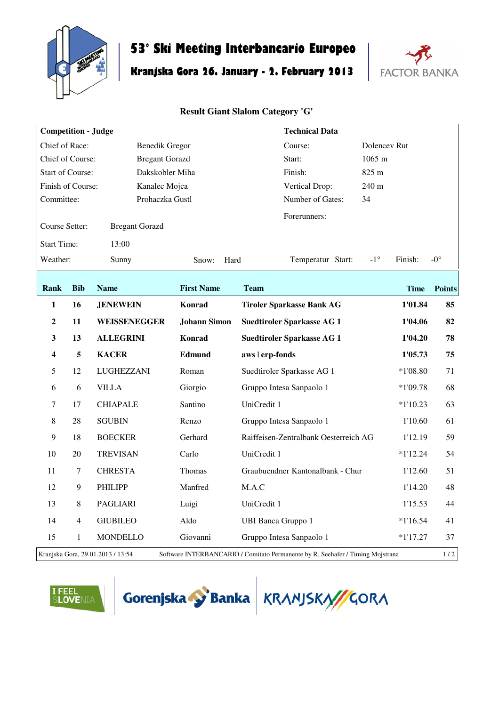

## **53° Ski Meeting Interbancario Europeo**

## **Kranjska Gora 26. January - 2. February 2013**



## **Result Giant Slalom Category 'G'**

| <b>Competition - Judge</b>              |                                                                                                                     |                       | <b>Technical Data</b> |                                       |                         |               |  |  |
|-----------------------------------------|---------------------------------------------------------------------------------------------------------------------|-----------------------|-----------------------|---------------------------------------|-------------------------|---------------|--|--|
| Chief of Race:                          |                                                                                                                     | <b>Benedik Gregor</b> |                       | Course:                               | Dolencey Rut            |               |  |  |
| Chief of Course:                        |                                                                                                                     | <b>Bregant Gorazd</b> |                       | Start:                                | 1065 m                  |               |  |  |
| <b>Start of Course:</b>                 |                                                                                                                     | Dakskobler Miha       |                       | Finish:                               | 825 m                   |               |  |  |
| Finish of Course:<br>Kanalec Mojca      |                                                                                                                     |                       |                       | Vertical Drop:                        | 240 m                   |               |  |  |
| Committee:                              |                                                                                                                     | Prohaczka Gustl       |                       | Number of Gates:<br>34                |                         |               |  |  |
| Course Setter:<br><b>Bregant Gorazd</b> |                                                                                                                     |                       |                       | Forerunners:                          |                         |               |  |  |
| <b>Start Time:</b>                      |                                                                                                                     | 13:00                 |                       |                                       |                         |               |  |  |
| Weather:                                |                                                                                                                     | Sunny                 | Hard<br>Snow:         | Temperatur Start:                     | $-1^{\circ}$<br>Finish: | $-0^{\circ}$  |  |  |
| Rank                                    | <b>Bib</b>                                                                                                          | <b>Name</b>           | <b>First Name</b>     | <b>Team</b>                           | <b>Time</b>             | <b>Points</b> |  |  |
| $\mathbf{1}$                            | 16                                                                                                                  | <b>JENEWEIN</b>       | Konrad                | <b>Tiroler Sparkasse Bank AG</b>      | 1'01.84                 | 85            |  |  |
| $\boldsymbol{2}$                        | 11                                                                                                                  | WEISSENEGGER          | <b>Johann Simon</b>   | <b>Suedtiroler Sparkasse AG 1</b>     | 1'04.06                 | 82            |  |  |
| $\mathbf{3}$                            | 13                                                                                                                  | <b>ALLEGRINI</b>      | Konrad                | <b>Suedtiroler Sparkasse AG 1</b>     | 1'04.20                 | 78            |  |  |
| $\overline{\mathbf{4}}$                 | 5                                                                                                                   | <b>KACER</b>          | Edmund                | aws   erp-fonds                       | 1'05.73                 | 75            |  |  |
| 5                                       | 12                                                                                                                  | LUGHEZZANI            | Roman                 | Suedtiroler Sparkasse AG 1            | $*1'08.80$              | 71            |  |  |
| 6                                       | 6                                                                                                                   | <b>VILLA</b>          | Giorgio               | Gruppo Intesa Sanpaolo 1              | $*1'09.78$              | 68            |  |  |
| $\overline{7}$                          | 17                                                                                                                  | <b>CHIAPALE</b>       | Santino               | UniCredit 1                           | $*1'10.23$              | 63            |  |  |
| $\,8\,$                                 | 28                                                                                                                  | <b>SGUBIN</b>         | Renzo                 | Gruppo Intesa Sanpaolo 1              | 1'10.60                 | 61            |  |  |
| $\overline{9}$                          | 18                                                                                                                  | <b>BOECKER</b>        | Gerhard               | Raiffeisen-Zentralbank Oesterreich AG | 1'12.19                 | 59            |  |  |
| 10                                      | 20                                                                                                                  | <b>TREVISAN</b>       | Carlo                 | UniCredit 1                           | $*1'12.24$              | 54            |  |  |
| 11                                      | 7                                                                                                                   | <b>CHRESTA</b>        | Thomas                | Graubuendner Kantonalbank - Chur      | 1'12.60                 | 51            |  |  |
| 12                                      | 9                                                                                                                   | <b>PHILIPP</b>        | Manfred               | M.A.C                                 | 1'14.20                 | 48            |  |  |
| 13                                      | 8                                                                                                                   | <b>PAGLIARI</b>       | Luigi                 | UniCredit 1                           | 1'15.53                 | 44            |  |  |
| 14                                      | 4                                                                                                                   | <b>GIUBILEO</b>       | Aldo                  | <b>UBI Banca Gruppo 1</b>             | $*1'16.54$              | 41            |  |  |
| 15                                      | 1                                                                                                                   | <b>MONDELLO</b>       | Giovanni              | Gruppo Intesa Sanpaolo 1              | $*1'17.27$              | 37            |  |  |
|                                         | Kranjska Gora, 29.01.2013 / 13:54<br>Software INTERBANCARIO / Comitato Permanente by R. Seehafer / Timing Mojstrana |                       |                       |                                       |                         |               |  |  |